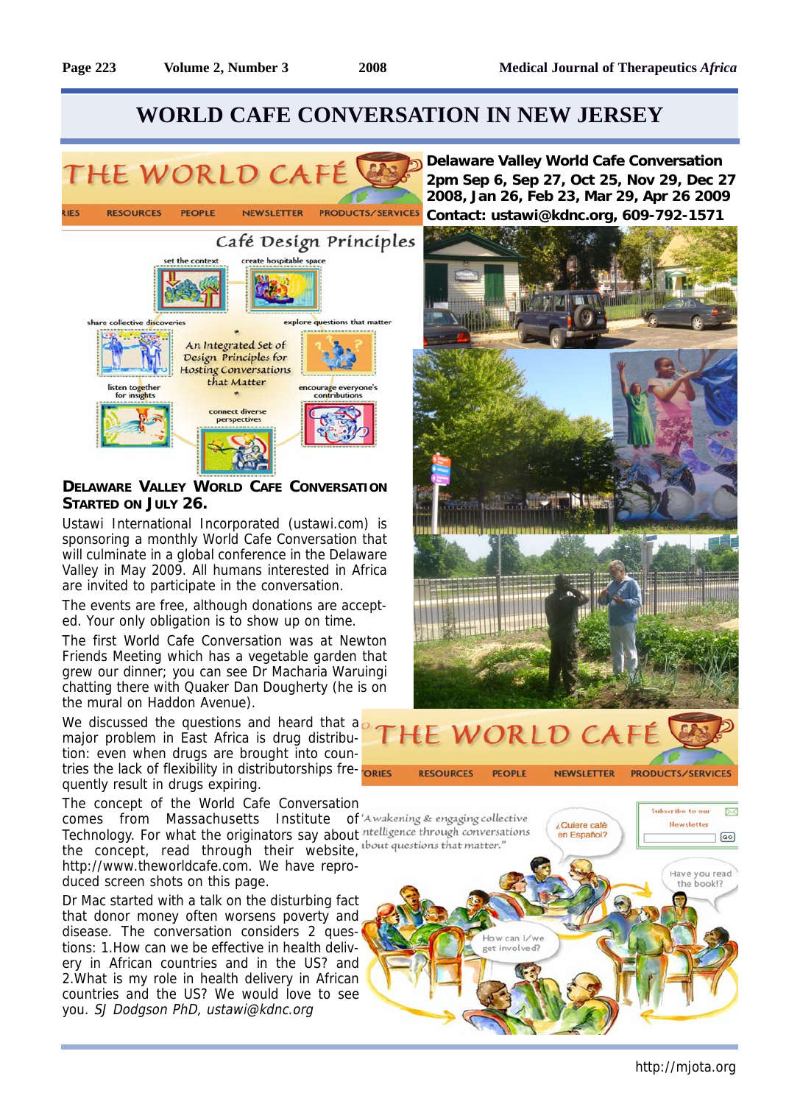# **WORLD CAFE CONVERSATION IN NEW JERSEY**



### **DELAWARE VALLEY WORLD CAFE CONVERSATION STARTED ON JULY 26.**

Ustawi International Incorporated (ustawi.com) is sponsoring a monthly World Cafe Conversation that will culminate in a global conference in the Delaware Valley in May 2009. All humans interested in Africa are invited to participate in the conversation.

The events are free, although donations are accepted. Your only obligation is to show up on time.

The first World Cafe Conversation was at Newton Friends Meeting which has a vegetable garden that grew our dinner; you can see Dr Macharia Waruingi chatting there with Quaker Dan Dougherty (he is on the mural on Haddon Avenue).

We discussed the questions and heard that a major problem in East Africa is drug distribution: even when drugs are brought into countries the lack of flexibility in distributorships frequently result in drugs expiring.

The concept of the World Cafe Conversation

comes from Massachusetts Institute of 'Awakening & engaging collective Technology. For what the originators say about ntelligence through conversations the concept, read through their website, the there is that matter." http://www.theworldcafe.com. We have reproduced screen shots on this page.

Dr Mac started with a talk on the disturbing fact that donor money often worsens poverty and disease. The conversation considers 2 questions: 1.How can we be effective in health delivery in African countries and in the US? and 2.What is my role in health delivery in African countries and the US? We would love to see you. SJ Dodgson PhD, ustawi@kdnc.org

**Delaware Valley World Cafe Conversation 2pm Sep 6, Sep 27, Oct 25, Nov 29, Dec 27 2008, Jan 26, Feb 23, Mar 29, Apr 26 2009 Contact: ustawi@kdnc.org, 609-792-1571**